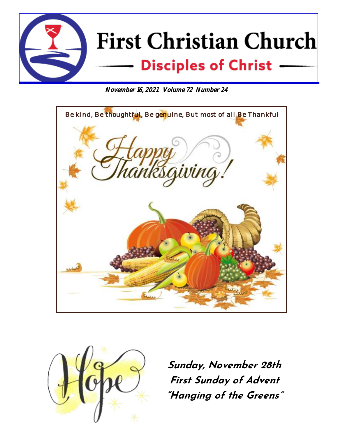

**November 16, 2021 Volume 72 Number 24**





**Sunday, November 28th First Sunday of Advent "Hanging of the Greens"**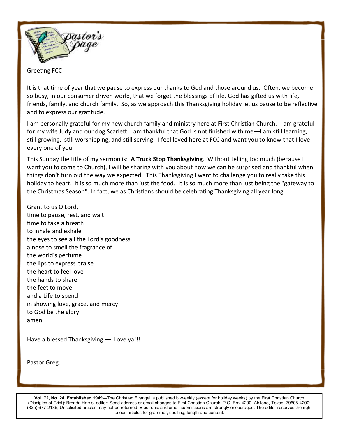

Greeting FCC

It is that time of year that we pause to express our thanks to God and those around us. Often, we become so busy, in our consumer driven world, that we forget the blessings of life. God has gifted us with life, friends, family, and church family. So, as we approach this Thanksgiving holiday let us pause to be reflective and to express our gratitude.

I am personally grateful for my new church family and ministry here at First Christian Church. I am grateful for my wife Judy and our dog Scarlett. I am thankful that God is not finished with me---I am still learning, still growing, still worshipping, and still serving. I feel loved here at FCC and want you to know that I love every one of you.

This Sunday the title of my sermon is: **A Truck Stop Thanksgiving**. Without telling too much (because I want you to come to Church), I will be sharing with you about how we can be surprised and thankful when things don't turn out the way we expected. This Thanksgiving I want to challenge you to really take this holiday to heart. It is so much more than just the food. It is so much more than just being the "gateway to the Christmas Season". In fact, we as Christians should be celebrating Thanksgiving all year long.

Grant to us O Lord, time to pause, rest, and wait time to take a breath to inhale and exhale the eyes to see all the Lord's goodness a nose to smell the fragrance of the world's perfume the lips to express praise the heart to feel love the hands to share the feet to move and a Life to spend in showing love, grace, and mercy to God be the glory amen.

Have a blessed Thanksgiving --- Love ya!!!

Pastor Greg.

**Vol. 72, No. 24 Established 1949—**The Christian Evangel is published bi-weekly (except for holiday weeks) by the First Christian Church (Disciples of Crist): Brenda Harris, editor; Send address or email changes to First Christian Church, P.O. Box 4200, Abilene, Texas, 79608-4200; (325) 677-2186; Unsolicited articles may not be returned. Electronic and email submissions are strongly encouraged. The editor reserves the right to edit articles for grammar, spelling, length and content.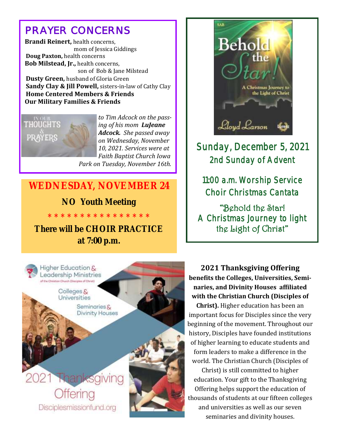# *PRAYER CONCERNS*

 **Brandi Reinert,** health concerns, mom of Jessica Giddings **Doug Paxton,** health concerns  **Bob Milstead, Jr.,** health concerns, son of Bob & Jane Milstead **Dusty Green,** husband of Gloria Green  **Sandy Clay & Jill Powell,** sisters-in-law of Cathy Clay **Home Centered Members & Friends Our Military Families & Friends**



*to Tim Adcock on the passing of his mom LuJeane Adcock. She passed away on Wednesday, November 10, 2021. Services were at Faith Baptist Church Iowa Park on Tuesday, November 16th.*

### **WEDNESDAY, NOVEMBER 24**

**NO Youth Meeting**

**\* \* \* \* \* \* \* \* \* \* \* \* \* \* \* \***

**There will be CHOIR PRACTICE at 7:00 p.m.**





## Sunday, December 5, 2021 2nd Sunday of Advent

11:00 a.m. Worship Service Choir Christmas Cantata

"Behold the Star! A Christmas Journey to light the Light of Christ"

**2021 Thanksgiving Offering benefits the Colleges, Universities, Seminaries, and Divinity Houses affiliated with the Christian Church (Disciples of** 

**Christ).** Higher education has been an important focus for Disciples since the very beginning of the movement. Throughout our history, Disciples have founded institutions of higher learning to educate students and form leaders to make a difference in the world. The Christian Church (Disciples of

Christ) is still committed to higher education. Your gift to the Thanksgiving Offering helps support the education of thousands of students at our fifteen colleges and universities as well as our seven seminaries and divinity houses.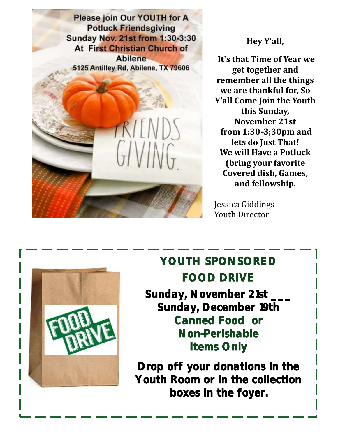**Please join Our YOUTH for A Potluck Friendsgiving Sunday Nov. 21st from 1:30-3:30 At First Christian Church of Abilene** 5125 Antilley Rd, Abilene, TX 79606



#### **Hey Y'all,**

**It's that Time of Year we get together and remember all the things we are thankful for, So Y'all Come Join the Youth this Sunday, November 21st from 1:30-3;30pm and lets do Just That! We will Have a Potluck (bring your favorite Covered dish, Games, and fellowship.**

Jessica Giddings Youth Director



# **YOUTH SPONSORED FOOD DRIVE**

**Sunday, November 21st \_\_\_ Sunday, December 19th Canned Food or Non-Perishable Items Only** 

**Drop off your donations in the Youth Room or in the collection boxes in the foyer.**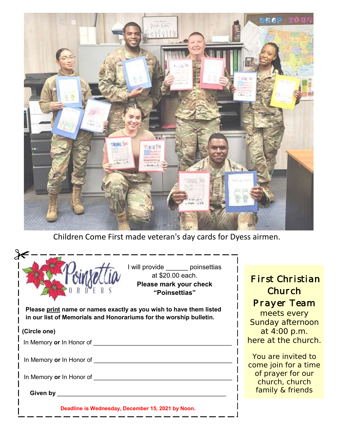

Children Come First made veteran's day cards for Dyess airmen.

|                                                                                                                                          | I will provide ______ poinsettias<br>at \$20.00 each.<br>Please mark your check<br>"Poinsettias" |    |
|------------------------------------------------------------------------------------------------------------------------------------------|--------------------------------------------------------------------------------------------------|----|
| Please print name or names exactly as you wish to have them listed<br>in our list of Memorials and Honorariums for the worship bulletin. |                                                                                                  | S  |
| (Circle one)                                                                                                                             |                                                                                                  |    |
| In Memory or In Honor of                                                                                                                 |                                                                                                  | he |
| In Memory or In Honor of                                                                                                                 |                                                                                                  |    |
| In Memory or In Honor of                                                                                                                 |                                                                                                  |    |
| Given by                                                                                                                                 |                                                                                                  |    |

### *First Christian Church Prayer Team*

meets every Sunday afternoon at 4:00 p.m. ere at the church.

You are invited to ome join for a time of prayer for our church, church family & friends

day, December 15, 2021 by Noon.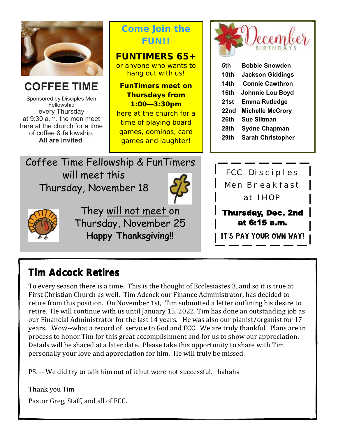

## **Tim Adcock Retires**

To every season there is a time. This is the thought of Ecclesiastes 3, and so it is true at First Christian Church as well. Tim Adcock our Finance Administrator, has decided to retire from this position. On November 1st, Tim submitted a letter outlining his desire to retire. He will continue with us until January 15, 2022. Tim has done an outstanding job as our Financial Administrator for the last 14 years. He was also our pianist/organist for 17 years. Wow--what a record of service to God and FCC. We are truly thankful. Plans are in process to honor Tim for this great accomplishment and for us to show our appreciation. Details will be shared at a later date. Please take this opportunity to share with Tim personally your love and appreciation for him. He will truly be missed.

PS. -- We did try to talk him out of it but were not successful. hahaha

Thank you Tim Pastor Greg, Staff, and all of FCC.